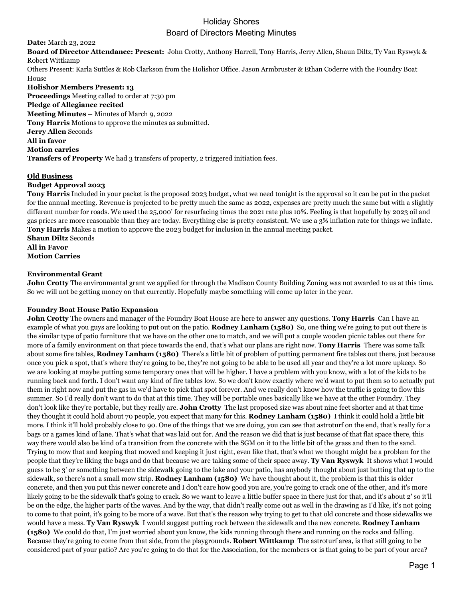**Date:** March 23, 2022

**Board of Director Attendance: Present:** John Crotty, Anthony Harrell, Tony Harris, Jerry Allen, Shaun Diltz, Ty Van Ryswyk & Robert Wittkamp

Others Present: Karla Suttles & Rob Clarkson from the Holishor Office. Jason Armbruster & Ethan Coderre with the Foundry Boat House

**Holishor Members Present: 13 Proceedings** Meeting called to order at 7:30 pm **Pledge of Allegiance recited Meeting Minutes –** Minutes of March 9, 2022 **Tony Harris** Motions to approve the minutes as submitted. **Jerry Allen** Seconds **All in favor Motion carries Transfers of Property** We had 3 transfers of property, 2 triggered initiation fees.

### **Old Business**

### **Budget Approval 2023**

**Tony Harris** Included in your packet is the proposed 2023 budget, what we need tonight is the approval so it can be put in the packet for the annual meeting. Revenue is projected to be pretty much the same as 2022, expenses are pretty much the same but with a slightly different number for roads. We used the 25,000' for resurfacing times the 2021 rate plus 10%. Feeling is that hopefully by 2023 oil and gas prices are more reasonable than they are today. Everything else is pretty consistent. We use a 3% inflation rate for things we inflate. **Tony Harris** Makes a motion to approve the 2023 budget for inclusion in the annual meeting packet.

**Shaun Diltz** Seconds **All in Favor Motion Carries**

### **Environmental Grant**

**John Crotty** The environmental grant we applied for through the Madison County Building Zoning was not awarded to us at this time. So we will not be getting money on that currently. Hopefully maybe something will come up later in the year.

### **Foundry Boat House Patio Expansion**

**John Crotty** The owners and manager of the Foundry Boat House are here to answer any questions. **Tony Harris** Can I have an example of what you guys are looking to put out on the patio. **Rodney Lanham (1580)** So, one thing we're going to put out there is the similar type of patio furniture that we have on the other one to match, and we will put a couple wooden picnic tables out there for more of a family environment on that piece towards the end, that's what our plans are right now. **Tony Harris** There was some talk about some fire tables, **Rodney Lanham (1580)** There's a little bit of problem of putting permanent fire tables out there, just because once you pick a spot, that's where they're going to be, they're not going to be able to be used all year and they're a lot more upkeep. So we are looking at maybe putting some temporary ones that will be higher. I have a problem with you know, with a lot of the kids to be running back and forth. I don't want any kind of fire tables low. So we don't know exactly where we'd want to put them so to actually put them in right now and put the gas in we'd have to pick that spot forever. And we really don't know how the traffic is going to flow this summer. So I'd really don't want to do that at this time. They will be portable ones basically like we have at the other Foundry. They don't look like they're portable, but they really are. **John Crotty** The last proposed size was about nine feet shorter and at that time they thought it could hold about 70 people, you expect that many for this. **Rodney Lanham (1580)** I think it could hold a little bit more. I think it'll hold probably close to 90. One of the things that we are doing, you can see that astroturf on the end, that's really for a bags or a games kind of lane. That's what that was laid out for. And the reason we did that is just because of that flat space there, this way there would also be kind of a transition from the concrete with the SGM on it to the little bit of the grass and then to the sand. Trying to mow that and keeping that mowed and keeping it just right, even like that, that's what we thought might be a problem for the people that they're liking the bags and do that because we are taking some of their space away. **Ty Van Ryswyk** It shows what I would guess to be 3' or something between the sidewalk going to the lake and your patio, has anybody thought about just butting that up to the sidewalk, so there's not a small mow strip. **Rodney Lanham (1580)** We have thought about it, the problem is that this is older concrete, and then you put this newer concrete and I don't care how good you are, you're going to crack one of the other, and it's more likely going to be the sidewalk that's going to crack. So we want to leave a little buffer space in there just for that, and it's about 2' so it'll be on the edge, the higher parts of the waves. And by the way, that didn't really come out as well in the drawing as I'd like, it's not going to come to that point, it's going to be more of a wave. But that's the reason why trying to get to that old concrete and those sidewalks we would have a mess. **Ty Van Ryswyk** I would suggest putting rock between the sidewalk and the new concrete. **Rodney Lanham (1580)** We could do that, I'm just worried about you know, the kids running through there and running on the rocks and falling. Because they're going to come from that side, from the playgrounds. **Robert Wittkamp** The astroturf area, is that still going to be considered part of your patio? Are you're going to do that for the Association, for the members or is that going to be part of your area?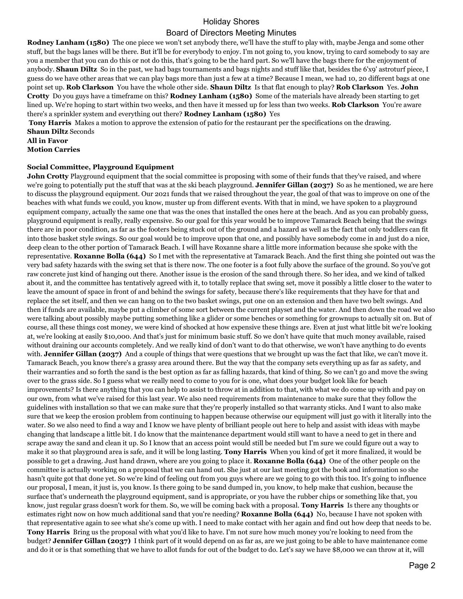## Holiday Shores

## Board of Directors Meeting Minutes

**Rodney Lanham (1580)** The one piece we won't set anybody there, we'll have the stuff to play with, maybe Jenga and some other stuff, but the bags lanes will be there. But it'll be for everybody to enjoy. I'm not going to, you know, trying to card somebody to say are you a member that you can do this or not do this, that's going to be the hard part. So we'll have the bags there for the enjoyment of anybody. **Shaun Diltz** So in the past, we had bags tournaments and bags nights and stuff like that, besides the 6'x9' astroturf piece, I guess do we have other areas that we can play bags more than just a few at a time? Because I mean, we had 10, 20 different bags at one point set up. **Rob Clarkson** You have the whole other side. **Shaun Diltz** Is that flat enough to play? **Rob Clarkson** Yes. **John Crotty** Do you guys have a timeframe on this? **Rodney Lanham (1580)** Some of the materials have already been starting to get lined up. We're hoping to start within two weeks, and then have it messed up for less than two weeks. **Rob Clarkson** You're aware there's a sprinkler system and everything out there? **Rodney Lanham (1580)** Yes

**Tony Harris** Makes a motion to approve the extension of patio for the restaurant per the specifications on the drawing. **Shaun Diltz** Seconds

**All in Favor**

**Motion Carries**

#### **Social Committee, Playground Equipment**

**John Crotty** Playground equipment that the social committee is proposing with some of their funds that they've raised, and where we're going to potentially put the stuff that was at the ski beach playground. **Jennifer Gillan (2037)** So as he mentioned, we are here to discuss the playground equipment. Our 2021 funds that we raised throughout the year, the goal of that was to improve on one of the beaches with what funds we could, you know, muster up from different events. With that in mind, we have spoken to a playground equipment company, actually the same one that was the ones that installed the ones here at the beach. And as you can probably guess, playground equipment is really, really expensive. So our goal for this year would be to improve Tamarack Beach being that the swings there are in poor condition, as far as the footers being stuck out of the ground and a hazard as well as the fact that only toddlers can fit into those basket style swings. So our goal would be to improve upon that one, and possibly have somebody come in and just do a nice, deep clean to the other portion of Tamarack Beach. I will have Roxanne share a little more information because she spoke with the representative. **Roxanne Bolla (644)** So I met with the representative at Tamarack Beach. And the first thing she pointed out was the very bad safety hazards with the swing set that is there now. The one footer is a foot fully above the surface of the ground. So you've got raw concrete just kind of hanging out there. Another issue is the erosion of the sand through there. So her idea, and we kind of talked about it, and the committee has tentatively agreed with it, to totally replace that swing set, move it possibly a little closer to the water to leave the amount of space in front of and behind the swings for safety, because there's like requirements that they have for that and replace the set itself, and then we can hang on to the two basket swings, put one on an extension and then have two belt swings. And then if funds are available, maybe put a climber of some sort between the current playset and the water. And then down the road we also were talking about possibly maybe putting something like a glider or some benches or something for grownups to actually sit on. But of course, all these things cost money, we were kind of shocked at how expensive these things are. Even at just what little bit we're looking at, we're looking at easily \$10,000. And that's just for minimum basic stuff. So we don't have quite that much money available, raised without draining our accounts completely. And we really kind of don't want to do that otherwise, we won't have anything to do events with. **Jennifer Gillan (2037)** And a couple of things that were questions that we brought up was the fact that like, we can't move it. Tamarack Beach, you know there's a grassy area around there. But the way that the company sets everything up as far as safety, and their warranties and so forth the sand is the best option as far as falling hazards, that kind of thing. So we can't go and move the swing over to the grass side. So I guess what we really need to come to you for is one, what does your budget look like for beach improvements? Is there anything that you can help to assist to throw at in addition to that, with what we do come up with and pay on our own, from what we've raised for this last year. We also need requirements from maintenance to make sure that they follow the guidelines with installation so that we can make sure that they're properly installed so that warranty sticks. And I want to also make sure that we keep the erosion problem from continuing to happen because otherwise our equipment will just go with it literally into the water. So we also need to find a way and I know we have plenty of brilliant people out here to help and assist with ideas with maybe changing that landscape a little bit. I do know that the maintenance department would still want to have a need to get in there and scrape away the sand and clean it up. So I know that an access point would still be needed but I'm sure we could figure out a way to make it so that playground area is safe, and it will be long lasting. **Tony Harris** When you kind of get it more finalized, it would be possible to get a drawing. Just hand drawn, where are you going to place it. **Roxanne Bolla (644)** One of the other people on the committee is actually working on a proposal that we can hand out. She just at our last meeting got the book and information so she hasn't quite got that done yet. So we're kind of feeling out from you guys where are we going to go with this too. It's going to influence our proposal, I mean, it just is, you know. Is there going to be sand dumped in, you know, to help make that cushion, because the surface that's underneath the playground equipment, sand is appropriate, or you have the rubber chips or something like that, you know, just regular grass doesn't work for them. So, we will be coming back with a proposal. **Tony Harris** Is there any thoughts or estimates right now on how much additional sand that you're needing? **Roxanne Bolla (644)** No, because I have not spoken with that representative again to see what she's come up with. I need to make contact with her again and find out how deep that needs to be. **Tony Harris** Bring us the proposal with what you'd like to have. I'm not sure how much money you're looking to need from the budget? **Jennifer Gillan (2037)** I think part of it would depend on as far as, are we just going to be able to have maintenance come and do it or is that something that we have to allot funds for out of the budget to do. Let's say we have \$8,000 we can throw at it, will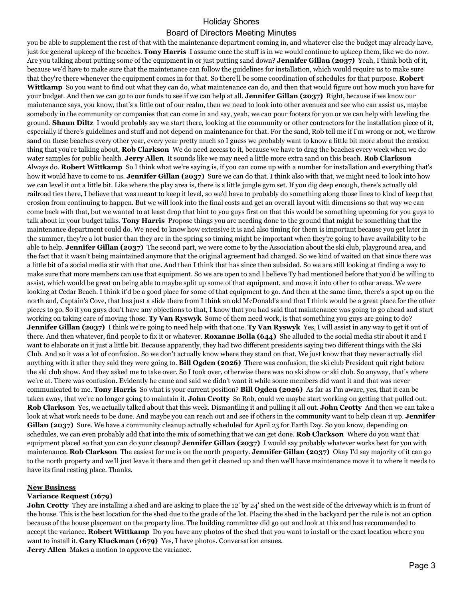you be able to supplement the rest of that with the maintenance department coming in, and whatever else the budget may already have, just for general upkeep of the beaches. **Tony Harris** I assume once the stuff is in we would continue to upkeep them, like we do now. Are you talking about putting some of the equipment in or just putting sand down? **Jennifer Gillan (2037)** Yeah, I think both of it, because we'd have to make sure that the maintenance can follow the guidelines for installation, which would require us to make sure that they're there whenever the equipment comes in for that. So there'll be some coordination of schedules for that purpose. **Robert Wittkamp** So you want to find out what they can do, what maintenance can do, and then that would figure out how much you have for your budget. And then we can go to our funds to see if we can help at all. **Jennifer Gillan (2037)** Right, because if we know our maintenance says, you know, that's a little out of our realm, then we need to look into other avenues and see who can assist us, maybe somebody in the community or companies that can come in and say, yeah, we can pour footers for you or we can help with leveling the ground. **Shaun Diltz** I would probably say we start there, looking at the community or other contractors for the installation piece of it, especially if there's guidelines and stuff and not depend on maintenance for that. For the sand, Rob tell me if I'm wrong or not, we throw sand on these beaches every other year, every year pretty much so I guess we probably want to know a little bit more about the erosion thing that you're talking about, **Rob Clarkson** We do need access to it, because we have to drag the beaches every week when we do water samples for public health. **Jerry Allen** It sounds like we may need a little more extra sand on this beach. **Rob Clarkson**  Always do. **Robert Wittkamp** So I think what we're saying is, if you can come up with a number for installation and everything that's how it would have to come to us. **Jennifer Gillan (2037)** Sure we can do that. I think also with that, we might need to look into how we can level it out a little bit. Like where the play area is, there is a little jungle gym set. If you dig deep enough, there's actually old railroad ties there, I believe that was meant to keep it level, so we'd have to probably do something along those lines to kind of keep that erosion from continuing to happen. But we will look into the final costs and get an overall layout with dimensions so that way we can come back with that, but we wanted to at least drop that hint to you guys first on that this would be something upcoming for you guys to talk about in your budget talks. **Tony Harris** Propose things you are needing done to the ground that might be something that the maintenance department could do. We need to know how extensive it is and also timing for them is important because you get later in the summer, they're a lot busier than they are in the spring so timing might be important when they're going to have availability to be able to help. **Jennifer Gillan (2037)** The second part, we were come to by the Association about the ski club, playground area, and the fact that it wasn't being maintained anymore that the original agreement had changed. So we kind of waited on that since there was a little bit of a social media stir with that one. And then I think that has since then subsided. So we are still looking at finding a way to make sure that more members can use that equipment. So we are open to and I believe Ty had mentioned before that you'd be willing to assist, which would be great on being able to maybe split up some of that equipment, and move it into other to other areas. We were looking at Cedar Beach. I think it'd be a good place for some of that equipment to go. And then at the same time, there's a spot up on the north end, Captain's Cove, that has just a slide there from I think an old McDonald's and that I think would be a great place for the other pieces to go. So if you guys don't have any objections to that, I know that you had said that maintenance was going to go ahead and start working on taking care of moving those. **Ty Van Ryswyk** Some of them need work, is that something you guys are going to do? **Jennifer Gillan (2037)** I think we're going to need help with that one. **Ty Van Ryswyk** Yes, I will assist in any way to get it out of there. And then whatever, find people to fix it or whatever. **Roxanne Bolla (644)** She alluded to the social media stir about it and I want to elaborate on it just a little bit. Because apparently, they had two different presidents saying two different things with the Ski Club. And so it was a lot of confusion. So we don't actually know where they stand on that. We just know that they never actually did anything with it after they said they were going to. **Bill Ogden (2026)** There was confusion, the ski club President quit right before the ski club show. And they asked me to take over. So I took over, otherwise there was no ski show or ski club. So anyway, that's where we're at. There was confusion. Evidently he came and said we didn't want it while some members did want it and that was never communicated to me. **Tony Harris** So what is your current position? **Bill Ogden (2026)** As far as I'm aware, yes, that it can be taken away, that we're no longer going to maintain it. **John Crotty** So Rob, could we maybe start working on getting that pulled out. **Rob Clarkson** Yes, we actually talked about that this week. Dismantling it and pulling it all out. **John Crotty** And then we can take a look at what work needs to be done. And maybe you can reach out and see if others in the community want to help clean it up. **Jennifer Gillan (2037)** Sure. We have a community cleanup actually scheduled for April 23 for Earth Day. So you know, depending on schedules, we can even probably add that into the mix of something that we can get done. **Rob Clarkson** Where do you want that equipment placed so that you can do your cleanup? **Jennifer Gillan (2037)** I would say probably whatever works best for you with maintenance. **Rob Clarkson** The easiest for me is on the north property. **Jennifer Gillan (2037)** Okay I'd say majority of it can go to the north property and we'll just leave it there and then get it cleaned up and then we'll have maintenance move it to where it needs to have its final resting place. Thanks.

#### **New Business**

#### **Variance Request (1679)**

**John Crotty** They are installing a shed and are asking to place the 12' by 24' shed on the west side of the driveway which is in front of the house. This is the best location for the shed due to the grade of the lot. Placing the shed in the backyard per the rule is not an option because of the house placement on the property line. The building committee did go out and look at this and has recommended to accept the variance. **Robert Wittkamp** Do you have any photos of the shed that you want to install or the exact location where you want to install it. **Gary Kluckman (1679)** Yes, I have photos. Conversation ensues. **Jerry Allen** Makes a motion to approve the variance.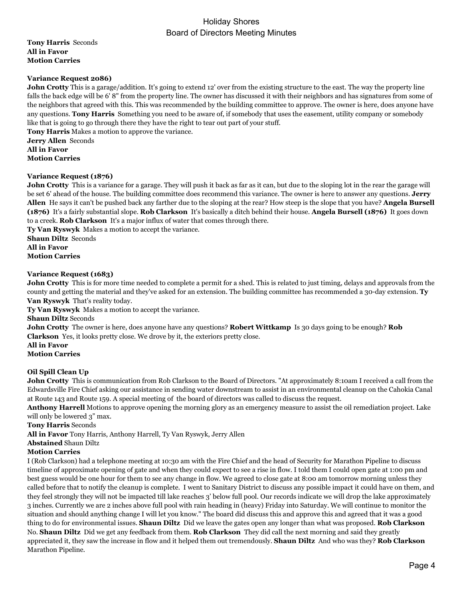**Tony Harris** Seconds **All in Favor Motion Carries**

### **Variance Request 2086)**

**John Crotty** This is a garage/addition. It's going to extend 12' over from the existing structure to the east. The way the property line falls the back edge will be 6' 8" from the property line. The owner has discussed it with their neighbors and has signatures from some of the neighbors that agreed with this. This was recommended by the building committee to approve. The owner is here, does anyone have any questions. **Tony Harris** Something you need to be aware of, if somebody that uses the easement, utility company or somebody like that is going to go through there they have the right to tear out part of your stuff. **Tony Harris** Makes a motion to approve the variance.

**Jerry Allen** Seconds **All in Favor Motion Carries**

#### **Variance Request (1876)**

**John Crotty** This is a variance for a garage. They will push it back as far as it can, but due to the sloping lot in the rear the garage will be set 6' ahead of the house. The building committee does recommend this variance. The owner is here to answer any questions. **Jerry Allen** He says it can't be pushed back any farther due to the sloping at the rear? How steep is the slope that you have? **Angela Bursell (1876)** It's a fairly substantial slope. **Rob Clarkson** It's basically a ditch behind their house. **Angela Bursell (1876)** It goes down to a creek. **Rob Clarkson** It's a major influx of water that comes through there.

**Ty Van Ryswyk** Makes a motion to accept the variance.

**Shaun Diltz** Seconds **All in Favor Motion Carries**

#### **Variance Request (1683)**

**John Crotty** This is for more time needed to complete a permit for a shed. This is related to just timing, delays and approvals from the county and getting the material and they've asked for an extension. The building committee has recommended a 30-day extension. **Ty Van Ryswyk** That's reality today.

**Ty Van Ryswyk** Makes a motion to accept the variance.

**Shaun Diltz** Seconds

**John Crotty** The owner is here, does anyone have any questions? **Robert Wittkamp** Is 30 days going to be enough? **Rob Clarkson** Yes, it looks pretty close. We drove by it, the exteriors pretty close.

**All in Favor**

**Motion Carries**

### **Oil Spill Clean Up**

**John Crotty** This is communication from Rob Clarkson to the Board of Directors. "At approximately 8:10am I received a call from the Edwardsville Fire Chief asking our assistance in sending water downstream to assist in an environmental cleanup on the Cahokia Canal at Route 143 and Route 159. A special meeting of the board of directors was called to discuss the request.

**Anthony Harrell** Motions to approve opening the morning glory as an emergency measure to assist the oil remediation project. Lake will only be lowered 3" max.

**Tony Harris** Seconds

**All in Favor** Tony Harris, Anthony Harrell, Ty Van Ryswyk, Jerry Allen

**Abstained** Shaun Diltz

#### **Motion Carries**

I (Rob Clarkson) had a telephone meeting at 10:30 am with the Fire Chief and the head of Security for Marathon Pipeline to discuss timeline of approximate opening of gate and when they could expect to see a rise in flow. I told them I could open gate at 1:00 pm and best guess would be one hour for them to see any change in flow. We agreed to close gate at 8:00 am tomorrow morning unless they called before that to notify the cleanup is complete. I went to Sanitary District to discuss any possible impact it could have on them, and they feel strongly they will not be impacted till lake reaches 3' below full pool. Our records indicate we will drop the lake approximately 3 inches. Currently we are 2 inches above full pool with rain heading in (heavy) Friday into Saturday. We will continue to monitor the situation and should anything change I will let you know." The board did discuss this and approve this and agreed that it was a good thing to do for environmental issues. **Shaun Diltz** Did we leave the gates open any longer than what was proposed. **Rob Clarkson**  No. **Shaun Diltz** Did we get any feedback from them. **Rob Clarkson** They did call the next morning and said they greatly appreciated it, they saw the increase in flow and it helped them out tremendously. **Shaun Diltz** And who was they? **Rob Clarkson** Marathon Pipeline.